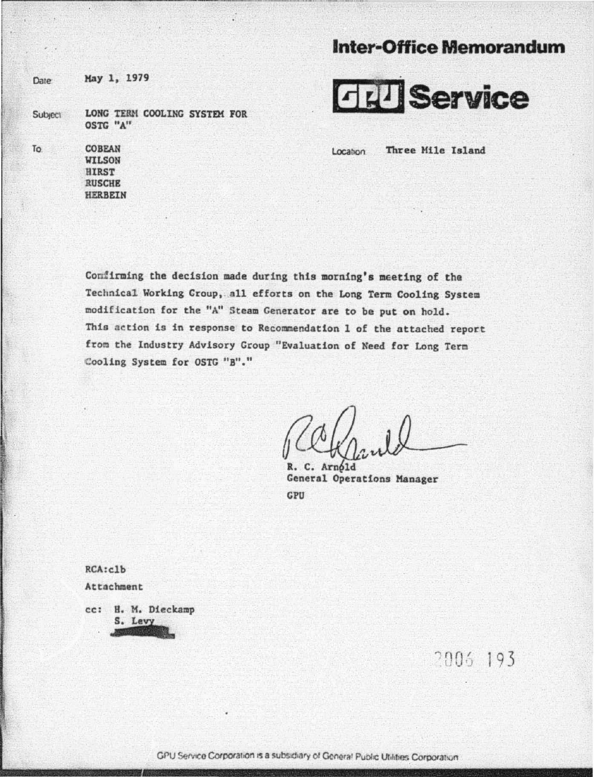## **Inter-office Memorandum**

**Date** 

To

Kay l. 1979

**Subject** LONG TERM COOLING SYSTEM FOR OSTG "A"

The second result is a second of the second of the second second second second second second second second second

[?j ijl **J Service** 

Location

Three Mile Island

**COBEAN WILSON HIRST** RUSCHE HERBEIN

Confirming the decision made during this morning's meeting of tha Technica1 Working Croup, all efforts on the Long Term Cooling System modification for the "A" Steam Generator are to be put on hold. This ac tion is in response to Recommendation 1 of the attached report from the Industry Advisory Group "Evaluation of Need for Long Term :Cooling System for OSTG "B"."

 $ICCH_{\mathcal{U}}$ 

General Operations Manager CPU

RCA:clb Attachment

cc: H. M. Dieckamp S. Levy

2006 193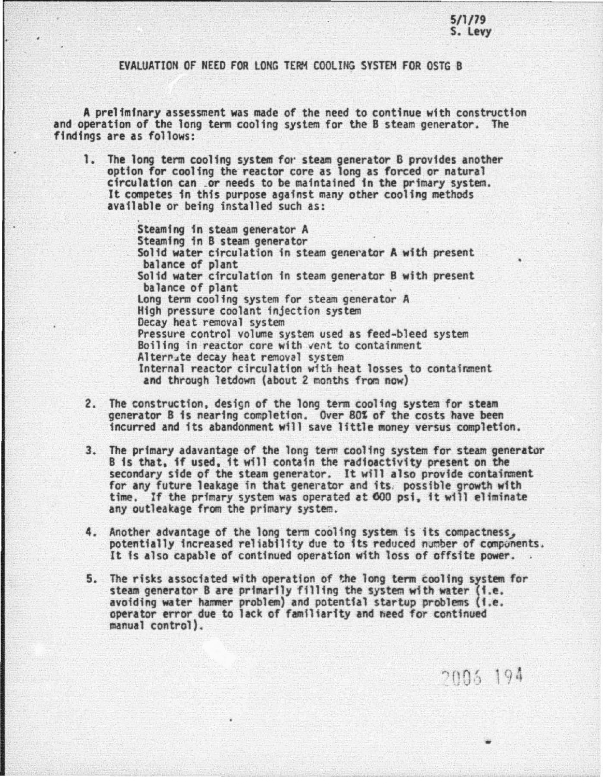EVAlUATION OF NEED FOR lONG TERM COOLING SYSTEM FOR OSTG 8

A preliminary assessment was made of the need to continue with construction and operation of the long term cooling system for the B steam generator. The findings are as follows:

1. The long term cooling system for steam generator B provides another option for cooling the reactor core as long as forced *or* natural circulation can .or needs to be maintained in the primary system. It competes in this purpose agafnst many other cooling methods available or being installed such as:

> Steaming in steam generator A<br>Steaming in B steam generator Solid water circulation in steam generator A with present<br>balance of plant<br>Solid water circulation in steam generator B with present<br>balance of plant<br>Long term cooling system for steam generator A<br>High pressure coolant inj Decay heat removal system<br>Pressure control volume system used as feed-bleed system<br>Boiling in reactor core with vent to containment<br>Altern4te decay heat removal system Internal reactor circulation with heat losses to containment and through letdown (about 2 months from now)

- 2. The construction, design of the long term cooling system for steam generator B is nearing completion. Over 80% of the costs have been incurred and its abandonment will save little money versus completion.
- 3. The primary adavantage of the long term cooling system for steam generator 8 is that, if used, it will contain the radioactivity present on the secondary side of the steam generator. It will also provide containment for any future leakage in that generator and its. possible growth with time. If the primary system was operated at 600 psi, it will eliminate any outleakage from the primary system.
- 4. Another advantage of the long term cooling system is its compactness, potentially increased reliability due to its reduced number of components. It is also capable or continued operation with loss of offsfte power.
- 5. The risks associated with operation of the long term cooling system for steam generator 8 are primarily filling the system w1th water (f.e. avoiding water hammer problem) and potential startup problems (f.e. operator error due to lack of familiarity and heed for continued manual control).

2005 194